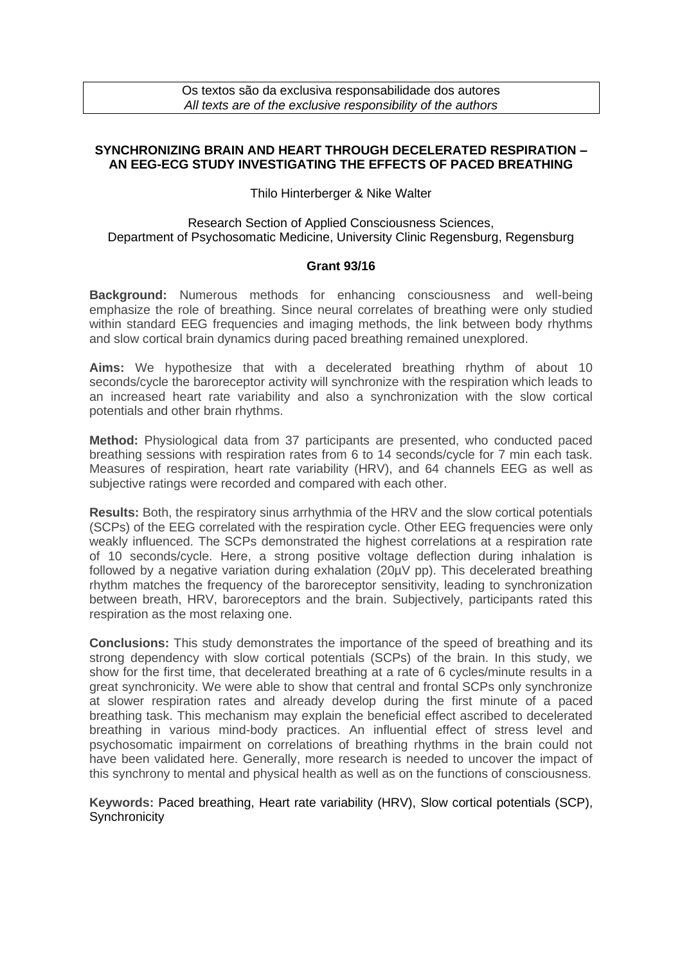# **SYNCHRONIZING BRAIN AND HEART THROUGH DECELERATED RESPIRATION – AN EEG-ECG STUDY INVESTIGATING THE EFFECTS OF PACED BREATHING**

Thilo Hinterberger & Nike Walter

## Research Section of Applied Consciousness Sciences, Department of Psychosomatic Medicine, University Clinic Regensburg, Regensburg

### **Grant 93/16**

**Background:** Numerous methods for enhancing consciousness and well-being emphasize the role of breathing. Since neural correlates of breathing were only studied within standard EEG frequencies and imaging methods, the link between body rhythms and slow cortical brain dynamics during paced breathing remained unexplored.

**Aims:** We hypothesize that with a decelerated breathing rhythm of about 10 seconds/cycle the baroreceptor activity will synchronize with the respiration which leads to an increased heart rate variability and also a synchronization with the slow cortical potentials and other brain rhythms.

**Method:** Physiological data from 37 participants are presented, who conducted paced breathing sessions with respiration rates from 6 to 14 seconds/cycle for 7 min each task. Measures of respiration, heart rate variability (HRV), and 64 channels EEG as well as subjective ratings were recorded and compared with each other.

**Results:** Both, the respiratory sinus arrhythmia of the HRV and the slow cortical potentials (SCPs) of the EEG correlated with the respiration cycle. Other EEG frequencies were only weakly influenced. The SCPs demonstrated the highest correlations at a respiration rate of 10 seconds/cycle. Here, a strong positive voltage deflection during inhalation is followed by a negative variation during exhalation (20µV pp). This decelerated breathing rhythm matches the frequency of the baroreceptor sensitivity, leading to synchronization between breath, HRV, baroreceptors and the brain. Subjectively, participants rated this respiration as the most relaxing one.

**Conclusions:** This study demonstrates the importance of the speed of breathing and its strong dependency with slow cortical potentials (SCPs) of the brain. In this study, we show for the first time, that decelerated breathing at a rate of 6 cycles/minute results in a great synchronicity. We were able to show that central and frontal SCPs only synchronize at slower respiration rates and already develop during the first minute of a paced breathing task. This mechanism may explain the beneficial effect ascribed to decelerated breathing in various mind-body practices. An influential effect of stress level and psychosomatic impairment on correlations of breathing rhythms in the brain could not have been validated here. Generally, more research is needed to uncover the impact of this synchrony to mental and physical health as well as on the functions of consciousness.

**Keywords:** Paced breathing, Heart rate variability (HRV), Slow cortical potentials (SCP), **Synchronicity**